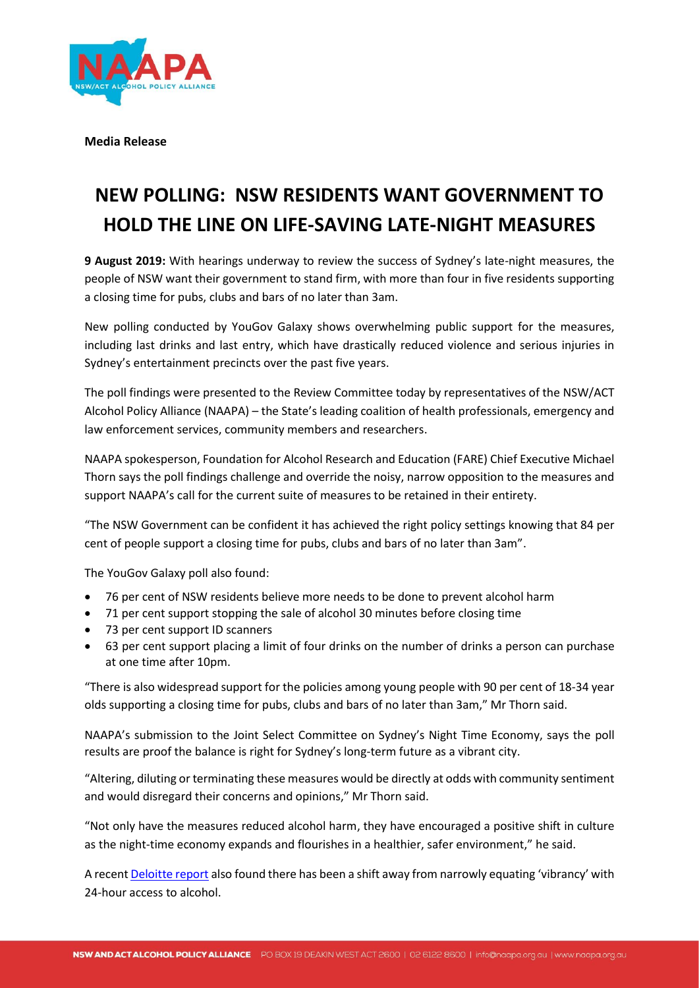

**Media Release**

## **NEW POLLING: NSW RESIDENTS WANT GOVERNMENT TO HOLD THE LINE ON LIFE-SAVING LATE-NIGHT MEASURES**

**9 August 2019:** With hearings underway to review the success of Sydney's late-night measures, the people of NSW want their government to stand firm, with more than four in five residents supporting a closing time for pubs, clubs and bars of no later than 3am.

New polling conducted by YouGov Galaxy shows overwhelming public support for the measures, including last drinks and last entry, which have drastically reduced violence and serious injuries in Sydney's entertainment precincts over the past five years.

The poll findings were presented to the Review Committee today by representatives of the NSW/ACT Alcohol Policy Alliance (NAAPA) – the State's leading coalition of health professionals, emergency and law enforcement services, community members and researchers.

NAAPA spokesperson, Foundation for Alcohol Research and Education (FARE) Chief Executive Michael Thorn says the poll findings challenge and override the noisy, narrow opposition to the measures and support NAAPA's call for the current suite of measures to be retained in their entirety.

"The NSW Government can be confident it has achieved the right policy settings knowing that 84 per cent of people support a closing time for pubs, clubs and bars of no later than 3am".

The YouGov Galaxy poll also found:

- 76 per cent of NSW residents believe more needs to be done to prevent alcohol harm
- 71 per cent support stopping the sale of alcohol 30 minutes before closing time
- 73 per cent support ID scanners
- 63 per cent support placing a limit of four drinks on the number of drinks a person can purchase at one time after 10pm.

"There is also widespread support for the policies among young people with 90 per cent of 18-34 year olds supporting a closing time for pubs, clubs and bars of no later than 3am," Mr Thorn said.

NAAPA's submission to the Joint Select Committee on Sydney's Night Time Economy, says the poll results are proof the balance is right for Sydney's long-term future as a vibrant city.

"Altering, diluting or terminating these measures would be directly at odds with community sentiment and would disregard their concerns and opinions," Mr Thorn said.

"Not only have the measures reduced alcohol harm, they have encouraged a positive shift in culture as the night-time economy expands and flourishes in a healthier, safer environment," he said.

A recen[t Deloitte report](https://www2.deloitte.com/au/en/pages/media-releases/articles/imagine-sydney-economic-social-potential-playful-city-150219.html) also found there has been a shift away from narrowly equating 'vibrancy' with 24-hour access to alcohol.